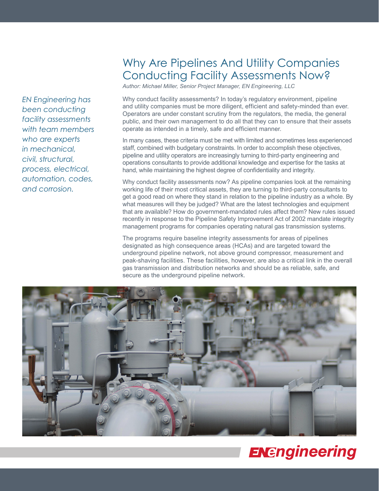*EN Engineering has been conducting facility assessments with team members who are experts in mechanical, civil, structural, process, electrical, automation, codes, and corrosion.*

# Why Are Pipelines And Utility Companies Conducting Facility Assessments Now?

*Author: Michael Miller, Senior Project Manager, EN Engineering, LLC*

Why conduct facility assessments? In today's regulatory environment, pipeline and utility companies must be more diligent, efficient and safety-minded than ever. Operators are under constant scrutiny from the regulators, the media, the general public, and their own management to do all that they can to ensure that their assets operate as intended in a timely, safe and efficient manner.

In many cases, these criteria must be met with limited and sometimes less experienced staff, combined with budgetary constraints. In order to accomplish these objectives, pipeline and utility operators are increasingly turning to third-party engineering and operations consultants to provide additional knowledge and expertise for the tasks at hand, while maintaining the highest degree of confidentiality and integrity.

Why conduct facility assessments now? As pipeline companies look at the remaining working life of their most critical assets, they are turning to third-party consultants to get a good read on where they stand in relation to the pipeline industry as a whole. By what measures will they be judged? What are the latest technologies and equipment that are available? How do government-mandated rules affect them? New rules issued recently in response to the Pipeline Safety Improvement Act of 2002 mandate integrity management programs for companies operating natural gas transmission systems.

The programs require baseline integrity assessments for areas of pipelines designated as high consequence areas (HCAs) and are targeted toward the underground pipeline network, not above ground compressor, measurement and peak-shaving facilities. These facilities, however, are also a critical link in the overall gas transmission and distribution networks and should be as reliable, safe, and secure as the underground pipeline network.



# **ENEngineering**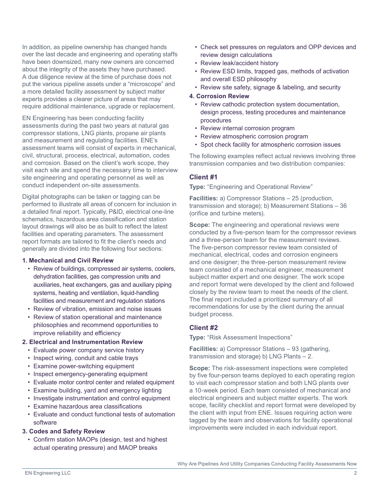In addition, as pipeline ownership has changed hands over the last decade and engineering and operating staffs have been downsized, many new owners are concerned about the integrity of the assets they have purchased. A due diligence review at the time of purchase does not put the various pipeline assets under a "microscope" and a more detailed facility assessment by subject matter experts provides a clearer picture of areas that may require additional maintenance, upgrade or replacement.

EN Engineering has been conducting facility assessments during the past two years at natural gas compressor stations, LNG plants, propane air plants and measurement and regulating facilities. ENE's assessment teams will consist of experts in mechanical, civil, structural, process, electrical, automation, codes and corrosion. Based on the client's work scope, they visit each site and spend the necessary time to interview site engineering and operating personnel as well as conduct independent on-site assessments.

Digital photographs can be taken or tagging can be performed to illustrate all areas of concern for inclusion in a detailed final report. Typically, P&ID, electrical one-line schematics, hazardous area classification and station layout drawings will also be as built to reflect the latest facilities and operating parameters. The assessment report formats are tailored to fit the client's needs and generally are divided into the following four sections:

#### **1. Mechanical and Civil Review**

- Review of buildings, compressed air systems, coolers, dehydration facilities, gas compression units and auxiliaries, heat exchangers, gas and auxiliary piping systems, heating and ventilation, liquid-handling facilities and measurement and regulation stations
- Review of vibration, emission and noise issues
- Review of station operational and maintenance philosophies and recommend opportunities to improve reliability and efficiency

#### **2. Electrical and Instrumentation Review**

- Evaluate power company service history
- Inspect wiring, conduit and cable trays
- Examine power-switching equipment
- Inspect emergency-generating equipment
- Evaluate motor control center and related equipment
- Examine building, yard and emergency lighting
- Investigate instrumentation and control equipment
- Examine hazardous area classifications
- Evaluate and conduct functional tests of automation software

#### **3. Codes and Safety Review**

• Confirm station MAOPs (design, test and highest actual operating pressure) and MAOP breaks

- Check set pressures on regulators and OPP devices and review design calculations
- Review leak/accident history
- Review ESD limits, trapped gas, methods of activation and overall ESD philosophy
- Review site safety, signage & labeling, and security

#### **4. Corrosion Review**

- Review cathodic protection system documentation, design process, testing procedures and maintenance procedures
- Review internal corrosion program
- Review atmospheric corrosion program
- Spot check facility for atmospheric corrosion issues

The following examples reflect actual reviews involving three transmission companies and two distribution companies:

### **Client #1**

**Type:** "Engineering and Operational Review"

**Facilities:** a) Compressor Stations – 25 (production, transmission and storage); b) Measurement Stations – 36 (orifice and turbine meters).

**Scope:** The engineering and operational reviews were conducted by a five-person team for the compressor reviews and a three-person team for the measurement reviews. The five-person compressor review team consisted of mechanical, electrical, codes and corrosion engineers and one designer; the three-person measurement review team consisted of a mechanical engineer, measurement subject matter expert and one designer. The work scope and report format were developed by the client and followed closely by the review team to meet the needs of the client. The final report included a prioritized summary of all recommendations for use by the client during the annual budget process.

# **Client #2**

**Type:** "Risk Assessment Inspections"

**Facilities:** a) Compressor Stations – 93 (gathering, transmission and storage) b) LNG Plants – 2.

**Scope:** The risk-assessment inspections were completed by five four-person teams deployed to each operating region to visit each compressor station and both LNG plants over a 10-week period. Each team consisted of mechanical and electrical engineers and subject matter experts. The work scope, facility checklist and report format were developed by the client with input from ENE. Issues requiring action were tagged by the team and observations for facility operational improvements were included in each individual report.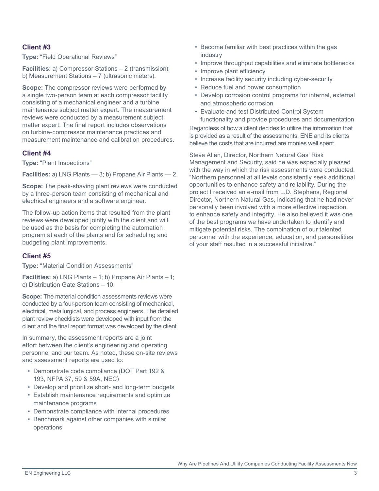# **Client #3**

**Type:** "Field Operational Reviews"

**Facilities**: a) Compressor Stations – 2 (transmission); b) Measurement Stations – 7 (ultrasonic meters).

**Scope:** The compressor reviews were performed by a single two-person team at each compressor facility consisting of a mechanical engineer and a turbine maintenance subject matter expert. The measurement reviews were conducted by a measurement subject matter expert. The final report includes observations on turbine-compressor maintenance practices and measurement maintenance and calibration procedures.

# **Client #4**

**Type:** "Plant Inspections"

**Facilities:** a) LNG Plants — 3; b) Propane Air Plants — 2.

**Scope:** The peak-shaving plant reviews were conducted by a three-person team consisting of mechanical and electrical engineers and a software engineer.

The follow-up action items that resulted from the plant reviews were developed jointly with the client and will be used as the basis for completing the automation program at each of the plants and for scheduling and budgeting plant improvements.

# **Client #5**

**Type:** "Material Condition Assessments"

**Facilities:** a) LNG Plants – 1; b) Propane Air Plants – 1; c) Distribution Gate Stations – 10.

**Scope:** The material condition assessments reviews were conducted by a four-person team consisting of mechanical, electrical, metallurgical, and process engineers. The detailed plant review checklists were developed with input from the client and the final report format was developed by the client.

In summary, the assessment reports are a joint effort between the client's engineering and operating personnel and our team. As noted, these on-site reviews and assessment reports are used to:

- Demonstrate code compliance (DOT Part 192 & 193, NFPA 37, 59 & 59A, NEC)
- Develop and prioritize short- and long-term budgets
- Establish maintenance requirements and optimize maintenance programs
- Demonstrate compliance with internal procedures
- Benchmark against other companies with similar operations
- Become familiar with best practices within the gas industry
- Improve throughput capabilities and eliminate bottlenecks
- Improve plant efficiency
- Increase facility security including cyber-security
- Reduce fuel and power consumption
- Develop corrosion control programs for internal, external and atmospheric corrosion
- Evaluate and test Distributed Control System functionality and provide procedures and documentation

Regardless of how a client decides to utilize the information that is provided as a result of the assessments, ENE and its clients believe the costs that are incurred are monies well spent.

Steve Allen, Director, Northern Natural Gas' Risk Management and Security, said he was especially pleased with the way in which the risk assessments were conducted. "Northern personnel at all levels consistently seek additional opportunities to enhance safety and reliability. During the project I received an e-mail from L.D. Stephens, Regional Director, Northern Natural Gas, indicating that he had never personally been involved with a more effective inspection to enhance safety and integrity. He also believed it was one of the best programs we have undertaken to identify and mitigate potential risks. The combination of our talented personnel with the experience, education, and personalities of your staff resulted in a successful initiative."